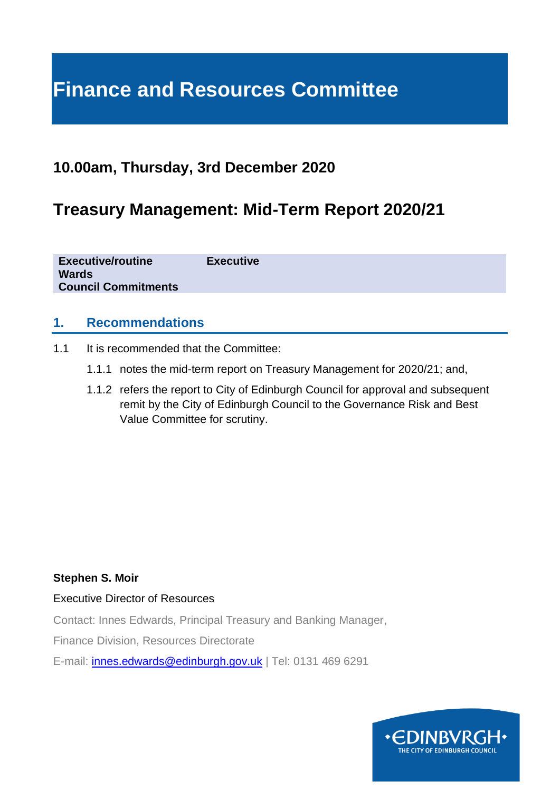# **Finance and Resources Committee**

### **10.00am, Thursday, 3rd December 2020**

# **Treasury Management: Mid-Term Report 2020/21**

**Executive/routine Executive Wards Council Commitments**

#### **1. Recommendations**

- 1.1 It is recommended that the Committee:
	- 1.1.1 notes the mid-term report on Treasury Management for 2020/21; and,
	- 1.1.2 refers the report to City of Edinburgh Council for approval and subsequent remit by the City of Edinburgh Council to the Governance Risk and Best Value Committee for scrutiny.

#### **Stephen S. Moir**

Executive Director of Resources

Contact: Innes Edwards, Principal Treasury and Banking Manager,

Finance Division, Resources Directorate

E-mail: [innes.edwards@edinburgh.gov.uk](mailto:innes.edwards@edinburgh.gov.uk) | Tel: 0131 469 6291

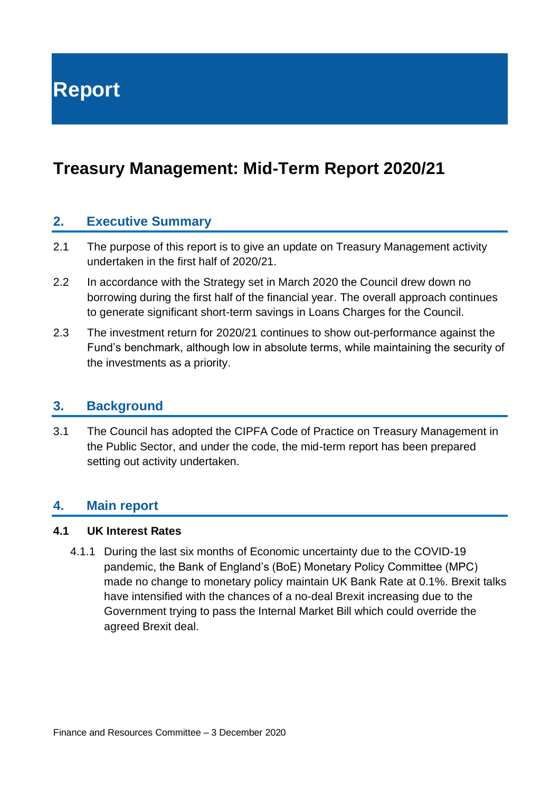**Report**

# **Treasury Management: Mid-Term Report 2020/21**

#### **2. Executive Summary**

- 2.1 The purpose of this report is to give an update on Treasury Management activity undertaken in the first half of 2020/21.
- 2.2 In accordance with the Strategy set in March 2020 the Council drew down no borrowing during the first half of the financial year. The overall approach continues to generate significant short-term savings in Loans Charges for the Council.
- 2.3 The investment return for 2020/21 continues to show out-performance against the Fund's benchmark, although low in absolute terms, while maintaining the security of the investments as a priority.

#### **3. Background**

3.1 The Council has adopted the CIPFA Code of Practice on Treasury Management in the Public Sector, and under the code, the mid-term report has been prepared setting out activity undertaken.

#### **4. Main report**

#### **4.1 UK Interest Rates**

4.1.1 During the last six months of Economic uncertainty due to the COVID-19 pandemic, the Bank of England's (BoE) Monetary Policy Committee (MPC) made no change to monetary policy maintain UK Bank Rate at 0.1%. Brexit talks have intensified with the chances of a no-deal Brexit increasing due to the Government trying to pass the Internal Market Bill which could override the agreed Brexit deal.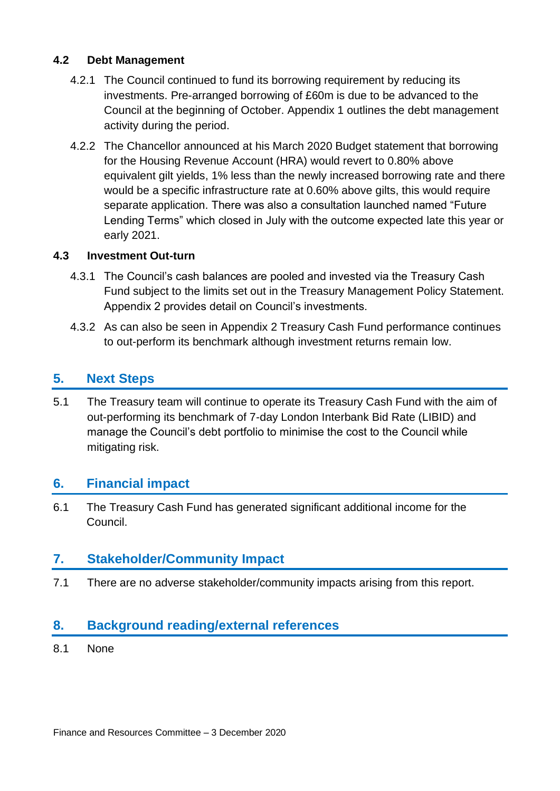#### **4.2 Debt Management**

- 4.2.1 The Council continued to fund its borrowing requirement by reducing its investments. Pre-arranged borrowing of £60m is due to be advanced to the Council at the beginning of October. Appendix 1 outlines the debt management activity during the period.
- 4.2.2 The Chancellor announced at his March 2020 Budget statement that borrowing for the Housing Revenue Account (HRA) would revert to 0.80% above equivalent gilt yields, 1% less than the newly increased borrowing rate and there would be a specific infrastructure rate at 0.60% above gilts, this would require separate application. There was also a consultation launched named "Future Lending Terms" which closed in July with the outcome expected late this year or early 2021.

#### **4.3 Investment Out-turn**

- 4.3.1 The Council's cash balances are pooled and invested via the Treasury Cash Fund subject to the limits set out in the Treasury Management Policy Statement. Appendix 2 provides detail on Council's investments.
- 4.3.2 As can also be seen in Appendix 2 Treasury Cash Fund performance continues to out-perform its benchmark although investment returns remain low.

#### **5. Next Steps**

5.1 The Treasury team will continue to operate its Treasury Cash Fund with the aim of out-performing its benchmark of 7-day London Interbank Bid Rate (LIBID) and manage the Council's debt portfolio to minimise the cost to the Council while mitigating risk.

#### **6. Financial impact**

6.1 The Treasury Cash Fund has generated significant additional income for the Council.

#### **7. Stakeholder/Community Impact**

7.1 There are no adverse stakeholder/community impacts arising from this report.

#### **8. Background reading/external references**

8.1 None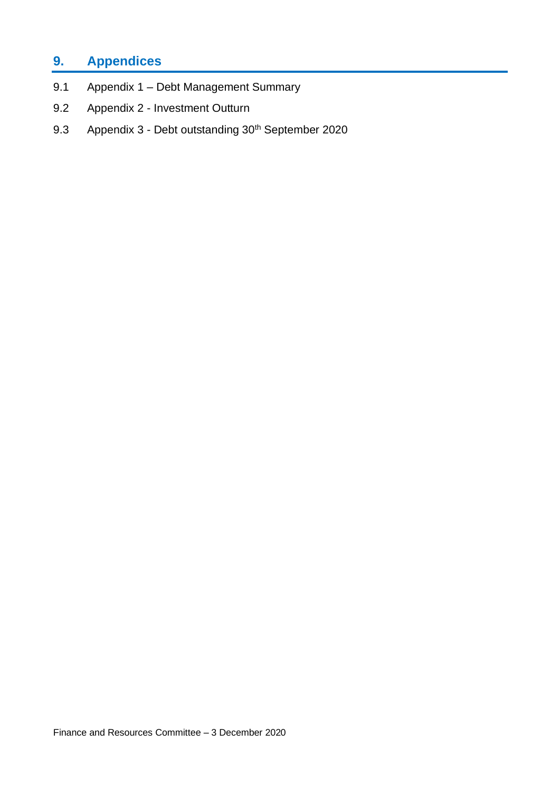### **9. Appendices**

- 9.1 Appendix 1 Debt Management Summary
- 9.2 Appendix 2 Investment Outturn
- 9.3 Appendix 3 Debt outstanding 30<sup>th</sup> September 2020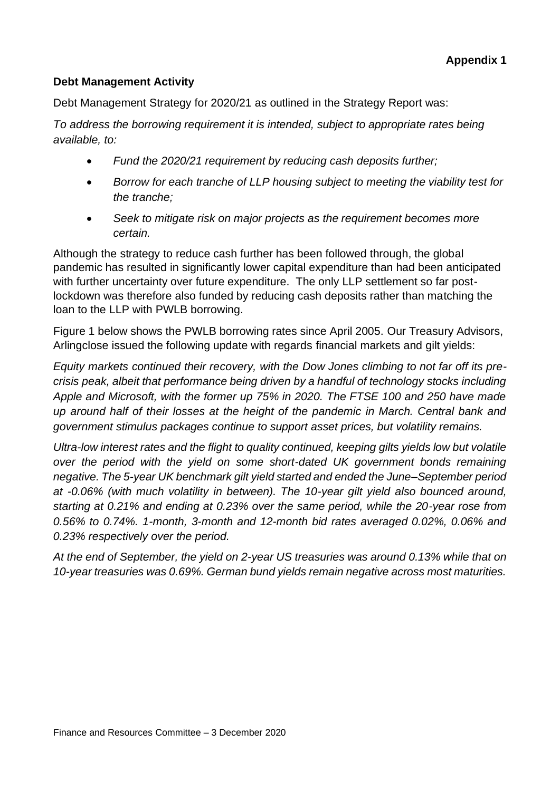#### **Debt Management Activity**

Debt Management Strategy for 2020/21 as outlined in the Strategy Report was:

*To address the borrowing requirement it is intended, subject to appropriate rates being available, to:* 

- *Fund the 2020/21 requirement by reducing cash deposits further;*
- *Borrow for each tranche of LLP housing subject to meeting the viability test for the tranche;*
- *Seek to mitigate risk on major projects as the requirement becomes more certain.*

Although the strategy to reduce cash further has been followed through, the global pandemic has resulted in significantly lower capital expenditure than had been anticipated with further uncertainty over future expenditure. The only LLP settlement so far postlockdown was therefore also funded by reducing cash deposits rather than matching the loan to the LLP with PWLB borrowing.

Figure 1 below shows the PWLB borrowing rates since April 2005. Our Treasury Advisors, Arlingclose issued the following update with regards financial markets and gilt yields:

*Equity markets continued their recovery, with the Dow Jones climbing to not far off its precrisis peak, albeit that performance being driven by a handful of technology stocks including Apple and Microsoft, with the former up 75% in 2020. The FTSE 100 and 250 have made up around half of their losses at the height of the pandemic in March. Central bank and government stimulus packages continue to support asset prices, but volatility remains.*

*Ultra-low interest rates and the flight to quality continued, keeping gilts yields low but volatile over the period with the yield on some short-dated UK government bonds remaining negative. The 5-year UK benchmark gilt yield started and ended the June–September period at -0.06% (with much volatility in between). The 10-year gilt yield also bounced around, starting at 0.21% and ending at 0.23% over the same period, while the 20-year rose from 0.56% to 0.74%. 1-month, 3-month and 12-month bid rates averaged 0.02%, 0.06% and 0.23% respectively over the period.*

*At the end of September, the yield on 2-year US treasuries was around 0.13% while that on 10-year treasuries was 0.69%. German bund yields remain negative across most maturities.*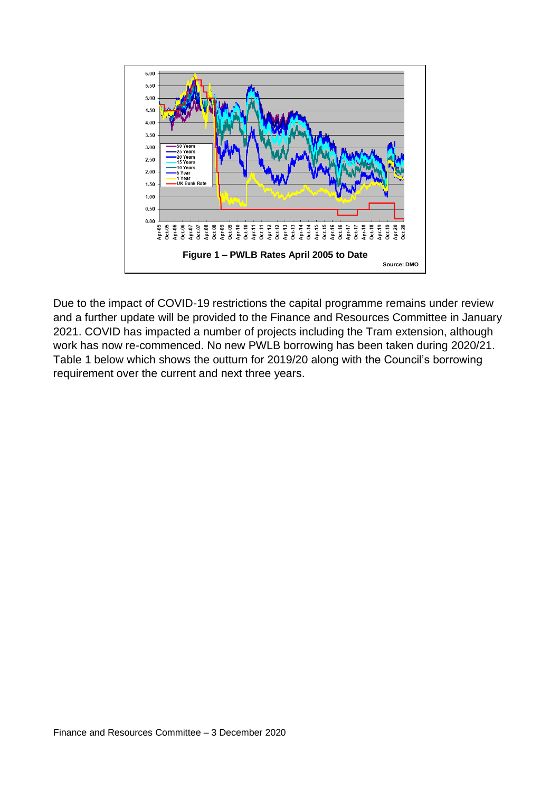

Due to the impact of COVID-19 restrictions the capital programme remains under review and a further update will be provided to the Finance and Resources Committee in January 2021. COVID has impacted a number of projects including the Tram extension, although work has now re-commenced. No new PWLB borrowing has been taken during 2020/21. Table 1 below which shows the outturn for 2019/20 along with the Council's borrowing requirement over the current and next three years.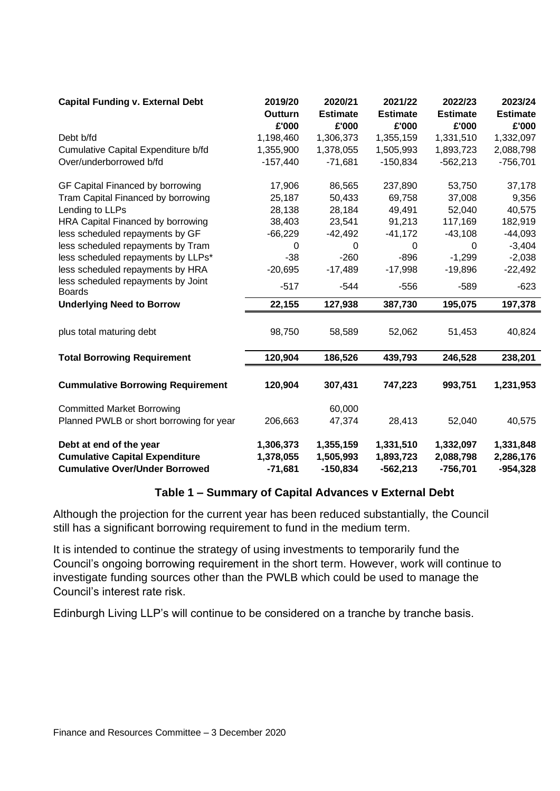| <b>Capital Funding v. External Debt</b>                                                                   | 2019/20                             | 2020/21                              | 2021/22                              | 2022/23                              | 2023/24                              |
|-----------------------------------------------------------------------------------------------------------|-------------------------------------|--------------------------------------|--------------------------------------|--------------------------------------|--------------------------------------|
|                                                                                                           | Outturn                             | <b>Estimate</b>                      | <b>Estimate</b>                      | <b>Estimate</b>                      | <b>Estimate</b>                      |
|                                                                                                           | £'000                               | £'000                                | £'000                                | £'000                                | £'000                                |
| Debt b/fd                                                                                                 | 1,198,460                           | 1,306,373                            | 1,355,159                            | 1,331,510                            | 1,332,097                            |
| Cumulative Capital Expenditure b/fd                                                                       | 1,355,900                           | 1,378,055                            | 1,505,993                            | 1,893,723                            | 2,088,798                            |
| Over/underborrowed b/fd                                                                                   | $-157,440$                          | $-71,681$                            | $-150,834$                           | $-562,213$                           | $-756,701$                           |
| GF Capital Financed by borrowing                                                                          | 17,906                              | 86,565                               | 237,890                              | 53,750                               | 37,178                               |
| Tram Capital Financed by borrowing                                                                        | 25,187                              | 50,433                               | 69,758                               | 37,008                               | 9,356                                |
| Lending to LLPs                                                                                           | 28,138                              | 28,184                               | 49,491                               | 52,040                               | 40,575                               |
| HRA Capital Financed by borrowing                                                                         | 38,403                              | 23,541                               | 91,213                               | 117,169                              | 182,919                              |
| less scheduled repayments by GF                                                                           | $-66,229$                           | $-42,492$                            | $-41,172$                            | $-43,108$                            | $-44,093$                            |
| less scheduled repayments by Tram                                                                         | 0                                   | 0                                    | 0                                    | 0                                    | $-3,404$                             |
| less scheduled repayments by LLPs*                                                                        | $-38$                               | $-260$                               | $-896$                               | $-1,299$                             | $-2,038$                             |
| less scheduled repayments by HRA                                                                          | $-20,695$                           | $-17,489$                            | $-17,998$                            | $-19,896$                            | $-22,492$                            |
| less scheduled repayments by Joint<br><b>Boards</b>                                                       | $-517$                              | $-544$                               | $-556$                               | $-589$                               | $-623$                               |
| <b>Underlying Need to Borrow</b>                                                                          | 22,155                              | 127,938                              | 387,730                              | 195,075                              | 197,378                              |
|                                                                                                           |                                     |                                      |                                      |                                      |                                      |
| plus total maturing debt                                                                                  | 98,750                              | 58,589                               | 52,062                               | 51,453                               | 40,824                               |
| <b>Total Borrowing Requirement</b>                                                                        | 120,904                             | 186,526                              | 439,793                              | 246,528                              | 238,201                              |
|                                                                                                           |                                     |                                      |                                      |                                      |                                      |
| <b>Cummulative Borrowing Requirement</b>                                                                  | 120,904                             | 307,431                              | 747,223                              | 993,751                              | 1,231,953                            |
| <b>Committed Market Borrowing</b>                                                                         |                                     | 60,000                               |                                      |                                      |                                      |
| Planned PWLB or short borrowing for year                                                                  | 206,663                             | 47,374                               | 28,413                               | 52,040                               | 40,575                               |
| Debt at end of the year<br><b>Cumulative Capital Expenditure</b><br><b>Cumulative Over/Under Borrowed</b> | 1,306,373<br>1,378,055<br>$-71,681$ | 1,355,159<br>1,505,993<br>$-150,834$ | 1,331,510<br>1,893,723<br>$-562,213$ | 1,332,097<br>2,088,798<br>$-756,701$ | 1,331,848<br>2,286,176<br>$-954,328$ |

#### **Table 1 – Summary of Capital Advances v External Debt**

Although the projection for the current year has been reduced substantially, the Council still has a significant borrowing requirement to fund in the medium term.

It is intended to continue the strategy of using investments to temporarily fund the Council's ongoing borrowing requirement in the short term. However, work will continue to investigate funding sources other than the PWLB which could be used to manage the Council's interest rate risk.

Edinburgh Living LLP's will continue to be considered on a tranche by tranche basis.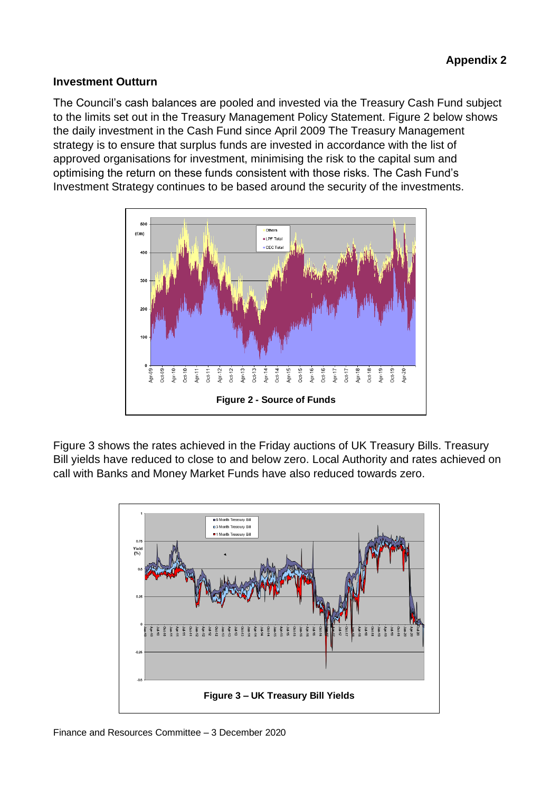#### **Investment Outturn**

The Council's cash balances are pooled and invested via the Treasury Cash Fund subject to the limits set out in the Treasury Management Policy Statement. Figure 2 below shows the daily investment in the Cash Fund since April 2009 The Treasury Management strategy is to ensure that surplus funds are invested in accordance with the list of approved organisations for investment, minimising the risk to the capital sum and optimising the return on these funds consistent with those risks. The Cash Fund's Investment Strategy continues to be based around the security of the investments.



Figure 3 shows the rates achieved in the Friday auctions of UK Treasury Bills. Treasury Bill yields have reduced to close to and below zero. Local Authority and rates achieved on call with Banks and Money Market Funds have also reduced towards zero.

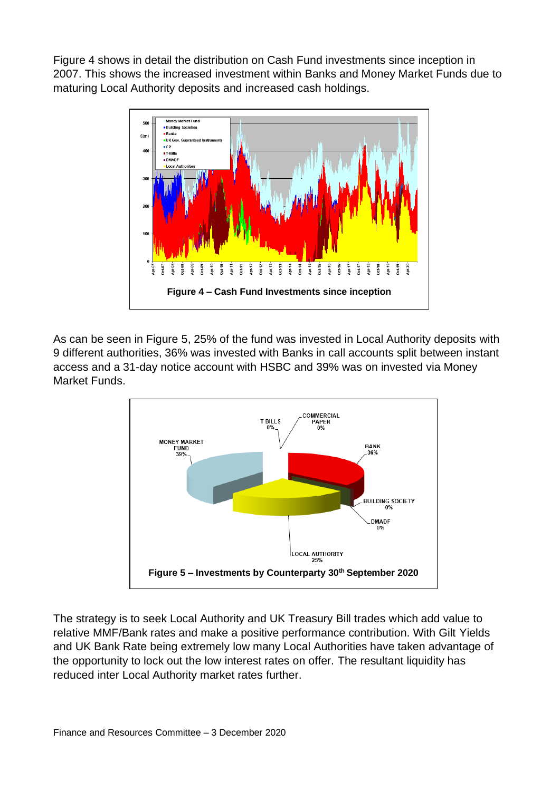Figure 4 shows in detail the distribution on Cash Fund investments since inception in 2007. This shows the increased investment within Banks and Money Market Funds due to maturing Local Authority deposits and increased cash holdings.



As can be seen in Figure 5, 25% of the fund was invested in Local Authority deposits with 9 different authorities, 36% was invested with Banks in call accounts split between instant access and a 31-day notice account with HSBC and 39% was on invested via Money Market Funds.



The strategy is to seek Local Authority and UK Treasury Bill trades which add value to relative MMF/Bank rates and make a positive performance contribution. With Gilt Yields and UK Bank Rate being extremely low many Local Authorities have taken advantage of the opportunity to lock out the low interest rates on offer. The resultant liquidity has reduced inter Local Authority market rates further.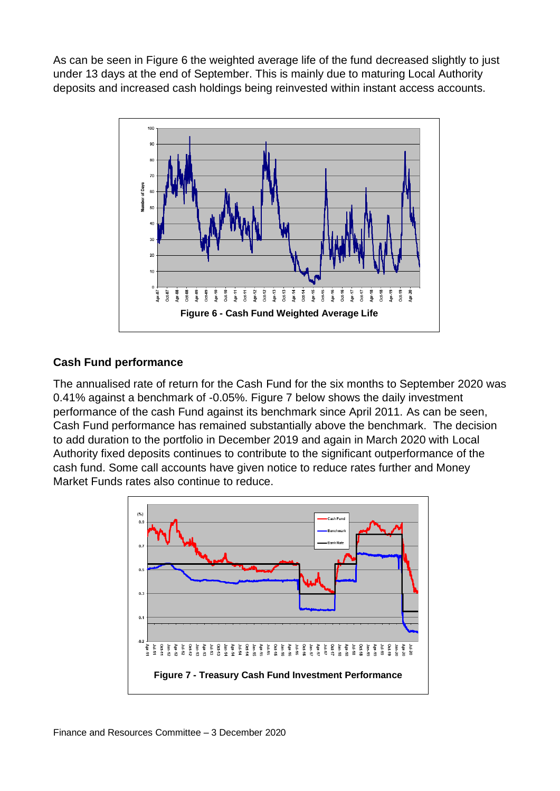As can be seen in Figure 6 the weighted average life of the fund decreased slightly to just under 13 days at the end of September. This is mainly due to maturing Local Authority deposits and increased cash holdings being reinvested within instant access accounts.



#### **Cash Fund performance**

The annualised rate of return for the Cash Fund for the six months to September 2020 was 0.41% against a benchmark of -0.05%. Figure 7 below shows the daily investment performance of the cash Fund against its benchmark since April 2011. As can be seen, Cash Fund performance has remained substantially above the benchmark. The decision to add duration to the portfolio in December 2019 and again in March 2020 with Local Authority fixed deposits continues to contribute to the significant outperformance of the cash fund. Some call accounts have given notice to reduce rates further and Money Market Funds rates also continue to reduce.

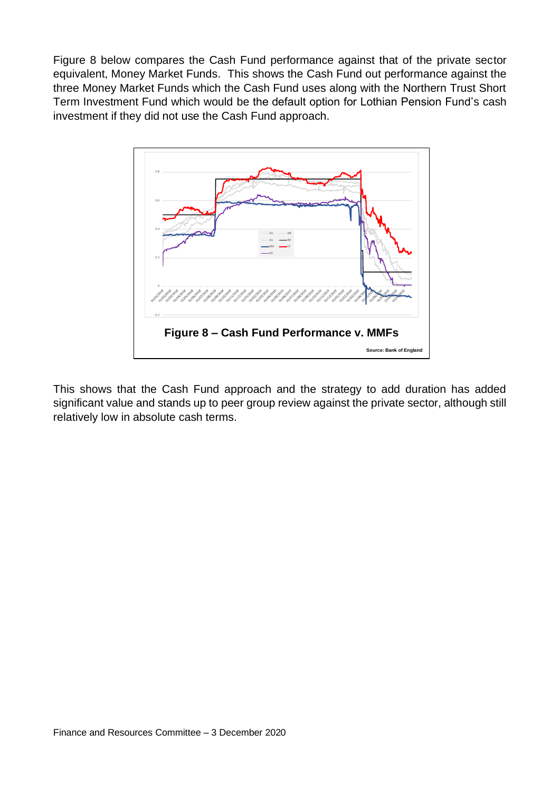Figure 8 below compares the Cash Fund performance against that of the private sector equivalent, Money Market Funds. This shows the Cash Fund out performance against the three Money Market Funds which the Cash Fund uses along with the Northern Trust Short Term Investment Fund which would be the default option for Lothian Pension Fund's cash investment if they did not use the Cash Fund approach.



This shows that the Cash Fund approach and the strategy to add duration has added significant value and stands up to peer group review against the private sector, although still relatively low in absolute cash terms.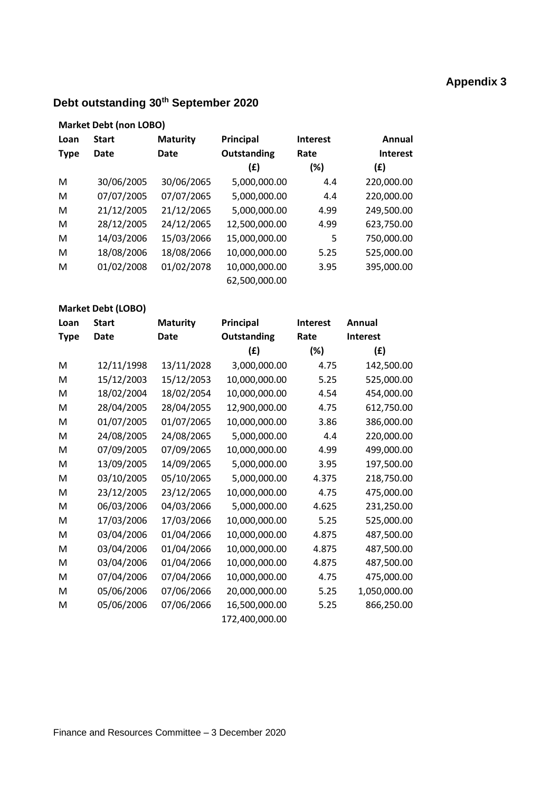### **Appendix 3**

## **Debt outstanding 30th September 2020**

| <b>Market Debt (non LOBO)</b> |  |
|-------------------------------|--|
|-------------------------------|--|

| Loan        | <b>Start</b> | <b>Maturity</b> | Principal     | <b>Interest</b> | Annual          |
|-------------|--------------|-----------------|---------------|-----------------|-----------------|
| <b>Type</b> | <b>Date</b>  | Date            | Outstanding   | Rate            | <b>Interest</b> |
|             |              |                 | (E)           | (%)             | (£)             |
| M           | 30/06/2005   | 30/06/2065      | 5,000,000.00  | 4.4             | 220,000.00      |
| M           | 07/07/2005   | 07/07/2065      | 5,000,000.00  | 4.4             | 220,000.00      |
| M           | 21/12/2005   | 21/12/2065      | 5,000,000.00  | 4.99            | 249,500.00      |
| M           | 28/12/2005   | 24/12/2065      | 12,500,000.00 | 4.99            | 623,750.00      |
| M           | 14/03/2006   | 15/03/2066      | 15,000,000.00 | 5               | 750,000.00      |
| M           | 18/08/2006   | 18/08/2066      | 10,000,000.00 | 5.25            | 525,000.00      |
| M           | 01/02/2008   | 01/02/2078      | 10,000,000.00 | 3.95            | 395,000.00      |
|             |              |                 | 62,500,000.00 |                 |                 |

#### **Market Debt (LOBO)**

| Loan        | <b>Start</b> | <b>Maturity</b> | Principal          | <b>Interest</b> | Annual          |
|-------------|--------------|-----------------|--------------------|-----------------|-----------------|
| <b>Type</b> | Date         | Date            | <b>Outstanding</b> | Rate            | <b>Interest</b> |
|             |              |                 | (f)                | $(\%)$          | (£)             |
| M           | 12/11/1998   | 13/11/2028      | 3,000,000.00       | 4.75            | 142,500.00      |
| M           | 15/12/2003   | 15/12/2053      | 10,000,000.00      | 5.25            | 525,000.00      |
| M           | 18/02/2004   | 18/02/2054      | 10,000,000.00      | 4.54            | 454,000.00      |
| M           | 28/04/2005   | 28/04/2055      | 12,900,000.00      | 4.75            | 612,750.00      |
| M           | 01/07/2005   | 01/07/2065      | 10,000,000.00      | 3.86            | 386,000.00      |
| M           | 24/08/2005   | 24/08/2065      | 5,000,000.00       | 4.4             | 220,000.00      |
| M           | 07/09/2005   | 07/09/2065      | 10,000,000.00      | 4.99            | 499,000.00      |
| M           | 13/09/2005   | 14/09/2065      | 5,000,000.00       | 3.95            | 197,500.00      |
| M           | 03/10/2005   | 05/10/2065      | 5,000,000.00       | 4.375           | 218,750.00      |
| M           | 23/12/2005   | 23/12/2065      | 10,000,000.00      | 4.75            | 475,000.00      |
| M           | 06/03/2006   | 04/03/2066      | 5,000,000.00       | 4.625           | 231,250.00      |
| M           | 17/03/2006   | 17/03/2066      | 10,000,000.00      | 5.25            | 525,000.00      |
| M           | 03/04/2006   | 01/04/2066      | 10,000,000.00      | 4.875           | 487,500.00      |
| M           | 03/04/2006   | 01/04/2066      | 10,000,000.00      | 4.875           | 487,500.00      |
| M           | 03/04/2006   | 01/04/2066      | 10,000,000.00      | 4.875           | 487,500.00      |
| M           | 07/04/2006   | 07/04/2066      | 10,000,000.00      | 4.75            | 475,000.00      |
| M           | 05/06/2006   | 07/06/2066      | 20,000,000.00      | 5.25            | 1,050,000.00    |
| M           | 05/06/2006   | 07/06/2066      | 16,500,000.00      | 5.25            | 866,250.00      |
|             |              |                 | 172,400,000.00     |                 |                 |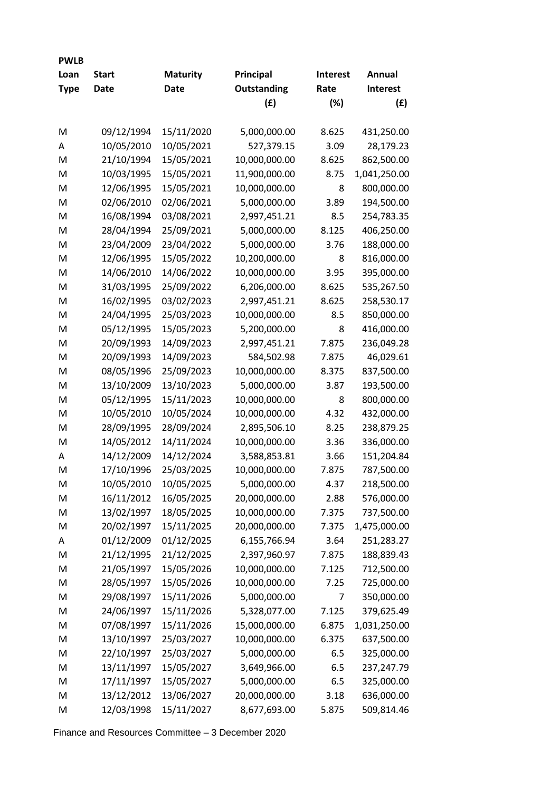| <b>Maturity</b><br>Principal<br><b>Start</b><br><b>Interest</b><br>Annual<br>Loan<br><b>Outstanding</b><br><b>Date</b><br>Rate<br><b>Interest</b><br><b>Type</b><br><b>Date</b><br>(E)<br>(%)<br>09/12/1994<br>15/11/2020<br>5,000,000.00<br>M<br>8.625<br>431,250.00<br>10/05/2010<br>10/05/2021<br>527,379.15<br>3.09<br>28,179.23<br>A<br>21/10/1994<br>15/05/2021<br>10,000,000.00<br>862,500.00<br>M<br>8.625<br>10/03/1995<br>15/05/2021<br>11,900,000.00<br>M<br>8.75<br>1,041,250.00<br>12/06/1995<br>15/05/2021<br>10,000,000.00<br>800,000.00<br>M<br>8<br>02/06/2010<br>02/06/2021<br>5,000,000.00<br>194,500.00<br>M<br>3.89<br>16/08/1994<br>03/08/2021<br>2,997,451.21<br>254,783.35<br>M<br>8.5<br>28/04/1994<br>25/09/2021<br>5,000,000.00<br>406,250.00<br>M<br>8.125<br>23/04/2009<br>23/04/2022<br>5,000,000.00<br>188,000.00<br>M<br>3.76<br>12/06/1995<br>15/05/2022<br>10,200,000.00<br>8<br>816,000.00<br>M<br>14/06/2010<br>14/06/2022<br>395,000.00<br>10,000,000.00<br>3.95<br>M<br>31/03/1995<br>25/09/2022<br>6,206,000.00<br>535,267.50<br>M<br>8.625<br>16/02/1995<br>03/02/2023<br>258,530.17<br>M<br>2,997,451.21<br>8.625<br>24/04/1995<br>25/03/2023<br>10,000,000.00<br>M<br>8.5<br>05/12/1995<br>15/05/2023<br>416,000.00<br>5,200,000.00<br>M<br>8<br>20/09/1993<br>14/09/2023<br>2,997,451.21<br>M<br>7.875<br>20/09/1993<br>14/09/2023<br>584,502.98<br>M<br>7.875<br>08/05/1996<br>25/09/2023<br>10,000,000.00<br>M<br>8.375<br>13/10/2009<br>13/10/2023<br>5,000,000.00<br>M<br>3.87<br>05/12/1995<br>15/11/2023<br>10,000,000.00<br>M<br>8<br>10/05/2010<br>10/05/2024<br>10,000,000.00<br>M<br>4.32<br>28/09/1995<br>28/09/2024<br>2,895,506.10<br>M<br>8.25<br>14/05/2012<br>14/11/2024<br>10,000,000.00<br>M<br>3.36<br>14/12/2009<br>14/12/2024<br>3,588,853.81<br>3.66<br>Α<br>25/03/2025<br>17/10/1996<br>10,000,000.00<br>м<br>7.875<br>10/05/2010<br>10/05/2025<br>5,000,000.00<br>4.37<br>M<br>16/11/2012<br>16/05/2025<br>20,000,000.00<br>M<br>2.88<br>13/02/1997<br>18/05/2025<br>10,000,000.00<br>M<br>7.375<br>20/02/1997<br>15/11/2025<br>20,000,000.00<br>M<br>7.375<br>01/12/2009<br>01/12/2025<br>6,155,766.94<br>3.64<br>A<br>21/12/1995<br>21/12/2025<br>M<br>2,397,960.97<br>7.875<br>21/05/1997<br>15/05/2026<br>10,000,000.00<br>712,500.00<br>M<br>7.125<br>28/05/1997<br>15/05/2026<br>10,000,000.00<br>725,000.00<br>M<br>7.25<br>29/08/1997<br>15/11/2026<br>5,000,000.00<br>M<br>7<br>350,000.00<br>24/06/1997<br>15/11/2026<br>5,328,077.00<br>379,625.49<br>M<br>7.125<br>07/08/1997<br>15/11/2026<br>15,000,000.00<br>1,031,250.00<br>M<br>6.875<br>13/10/1997<br>25/03/2027<br>10,000,000.00<br>637,500.00<br>M<br>6.375<br>22/10/1997<br>25/03/2027<br>5,000,000.00<br>M<br>6.5<br>325,000.00<br>13/11/1997<br>15/05/2027<br>M<br>3,649,966.00<br>6.5<br>237,247.79<br>17/11/1997<br>15/05/2027<br>5,000,000.00<br>325,000.00<br>M<br>6.5<br>13/12/2012<br>13/06/2027<br>20,000,000.00<br>636,000.00<br>M<br>3.18 | <b>PWLB</b> |            |            |              |       |              |
|----------------------------------------------------------------------------------------------------------------------------------------------------------------------------------------------------------------------------------------------------------------------------------------------------------------------------------------------------------------------------------------------------------------------------------------------------------------------------------------------------------------------------------------------------------------------------------------------------------------------------------------------------------------------------------------------------------------------------------------------------------------------------------------------------------------------------------------------------------------------------------------------------------------------------------------------------------------------------------------------------------------------------------------------------------------------------------------------------------------------------------------------------------------------------------------------------------------------------------------------------------------------------------------------------------------------------------------------------------------------------------------------------------------------------------------------------------------------------------------------------------------------------------------------------------------------------------------------------------------------------------------------------------------------------------------------------------------------------------------------------------------------------------------------------------------------------------------------------------------------------------------------------------------------------------------------------------------------------------------------------------------------------------------------------------------------------------------------------------------------------------------------------------------------------------------------------------------------------------------------------------------------------------------------------------------------------------------------------------------------------------------------------------------------------------------------------------------------------------------------------------------------------------------------------------------------------------------------------------------------------------------------------------------------------------------------------------------------------------------------------------------------------------------------------------------------------------------------------------------------------------------------------------------------------------------------------------------------------------------------|-------------|------------|------------|--------------|-------|--------------|
|                                                                                                                                                                                                                                                                                                                                                                                                                                                                                                                                                                                                                                                                                                                                                                                                                                                                                                                                                                                                                                                                                                                                                                                                                                                                                                                                                                                                                                                                                                                                                                                                                                                                                                                                                                                                                                                                                                                                                                                                                                                                                                                                                                                                                                                                                                                                                                                                                                                                                                                                                                                                                                                                                                                                                                                                                                                                                                                                                                                              |             |            |            |              |       |              |
|                                                                                                                                                                                                                                                                                                                                                                                                                                                                                                                                                                                                                                                                                                                                                                                                                                                                                                                                                                                                                                                                                                                                                                                                                                                                                                                                                                                                                                                                                                                                                                                                                                                                                                                                                                                                                                                                                                                                                                                                                                                                                                                                                                                                                                                                                                                                                                                                                                                                                                                                                                                                                                                                                                                                                                                                                                                                                                                                                                                              |             |            |            |              |       |              |
|                                                                                                                                                                                                                                                                                                                                                                                                                                                                                                                                                                                                                                                                                                                                                                                                                                                                                                                                                                                                                                                                                                                                                                                                                                                                                                                                                                                                                                                                                                                                                                                                                                                                                                                                                                                                                                                                                                                                                                                                                                                                                                                                                                                                                                                                                                                                                                                                                                                                                                                                                                                                                                                                                                                                                                                                                                                                                                                                                                                              |             |            |            |              |       | (f)          |
|                                                                                                                                                                                                                                                                                                                                                                                                                                                                                                                                                                                                                                                                                                                                                                                                                                                                                                                                                                                                                                                                                                                                                                                                                                                                                                                                                                                                                                                                                                                                                                                                                                                                                                                                                                                                                                                                                                                                                                                                                                                                                                                                                                                                                                                                                                                                                                                                                                                                                                                                                                                                                                                                                                                                                                                                                                                                                                                                                                                              |             |            |            |              |       |              |
|                                                                                                                                                                                                                                                                                                                                                                                                                                                                                                                                                                                                                                                                                                                                                                                                                                                                                                                                                                                                                                                                                                                                                                                                                                                                                                                                                                                                                                                                                                                                                                                                                                                                                                                                                                                                                                                                                                                                                                                                                                                                                                                                                                                                                                                                                                                                                                                                                                                                                                                                                                                                                                                                                                                                                                                                                                                                                                                                                                                              |             |            |            |              |       |              |
|                                                                                                                                                                                                                                                                                                                                                                                                                                                                                                                                                                                                                                                                                                                                                                                                                                                                                                                                                                                                                                                                                                                                                                                                                                                                                                                                                                                                                                                                                                                                                                                                                                                                                                                                                                                                                                                                                                                                                                                                                                                                                                                                                                                                                                                                                                                                                                                                                                                                                                                                                                                                                                                                                                                                                                                                                                                                                                                                                                                              |             |            |            |              |       |              |
|                                                                                                                                                                                                                                                                                                                                                                                                                                                                                                                                                                                                                                                                                                                                                                                                                                                                                                                                                                                                                                                                                                                                                                                                                                                                                                                                                                                                                                                                                                                                                                                                                                                                                                                                                                                                                                                                                                                                                                                                                                                                                                                                                                                                                                                                                                                                                                                                                                                                                                                                                                                                                                                                                                                                                                                                                                                                                                                                                                                              |             |            |            |              |       |              |
|                                                                                                                                                                                                                                                                                                                                                                                                                                                                                                                                                                                                                                                                                                                                                                                                                                                                                                                                                                                                                                                                                                                                                                                                                                                                                                                                                                                                                                                                                                                                                                                                                                                                                                                                                                                                                                                                                                                                                                                                                                                                                                                                                                                                                                                                                                                                                                                                                                                                                                                                                                                                                                                                                                                                                                                                                                                                                                                                                                                              |             |            |            |              |       |              |
|                                                                                                                                                                                                                                                                                                                                                                                                                                                                                                                                                                                                                                                                                                                                                                                                                                                                                                                                                                                                                                                                                                                                                                                                                                                                                                                                                                                                                                                                                                                                                                                                                                                                                                                                                                                                                                                                                                                                                                                                                                                                                                                                                                                                                                                                                                                                                                                                                                                                                                                                                                                                                                                                                                                                                                                                                                                                                                                                                                                              |             |            |            |              |       |              |
|                                                                                                                                                                                                                                                                                                                                                                                                                                                                                                                                                                                                                                                                                                                                                                                                                                                                                                                                                                                                                                                                                                                                                                                                                                                                                                                                                                                                                                                                                                                                                                                                                                                                                                                                                                                                                                                                                                                                                                                                                                                                                                                                                                                                                                                                                                                                                                                                                                                                                                                                                                                                                                                                                                                                                                                                                                                                                                                                                                                              |             |            |            |              |       |              |
|                                                                                                                                                                                                                                                                                                                                                                                                                                                                                                                                                                                                                                                                                                                                                                                                                                                                                                                                                                                                                                                                                                                                                                                                                                                                                                                                                                                                                                                                                                                                                                                                                                                                                                                                                                                                                                                                                                                                                                                                                                                                                                                                                                                                                                                                                                                                                                                                                                                                                                                                                                                                                                                                                                                                                                                                                                                                                                                                                                                              |             |            |            |              |       |              |
|                                                                                                                                                                                                                                                                                                                                                                                                                                                                                                                                                                                                                                                                                                                                                                                                                                                                                                                                                                                                                                                                                                                                                                                                                                                                                                                                                                                                                                                                                                                                                                                                                                                                                                                                                                                                                                                                                                                                                                                                                                                                                                                                                                                                                                                                                                                                                                                                                                                                                                                                                                                                                                                                                                                                                                                                                                                                                                                                                                                              |             |            |            |              |       |              |
|                                                                                                                                                                                                                                                                                                                                                                                                                                                                                                                                                                                                                                                                                                                                                                                                                                                                                                                                                                                                                                                                                                                                                                                                                                                                                                                                                                                                                                                                                                                                                                                                                                                                                                                                                                                                                                                                                                                                                                                                                                                                                                                                                                                                                                                                                                                                                                                                                                                                                                                                                                                                                                                                                                                                                                                                                                                                                                                                                                                              |             |            |            |              |       |              |
|                                                                                                                                                                                                                                                                                                                                                                                                                                                                                                                                                                                                                                                                                                                                                                                                                                                                                                                                                                                                                                                                                                                                                                                                                                                                                                                                                                                                                                                                                                                                                                                                                                                                                                                                                                                                                                                                                                                                                                                                                                                                                                                                                                                                                                                                                                                                                                                                                                                                                                                                                                                                                                                                                                                                                                                                                                                                                                                                                                                              |             |            |            |              |       |              |
|                                                                                                                                                                                                                                                                                                                                                                                                                                                                                                                                                                                                                                                                                                                                                                                                                                                                                                                                                                                                                                                                                                                                                                                                                                                                                                                                                                                                                                                                                                                                                                                                                                                                                                                                                                                                                                                                                                                                                                                                                                                                                                                                                                                                                                                                                                                                                                                                                                                                                                                                                                                                                                                                                                                                                                                                                                                                                                                                                                                              |             |            |            |              |       |              |
|                                                                                                                                                                                                                                                                                                                                                                                                                                                                                                                                                                                                                                                                                                                                                                                                                                                                                                                                                                                                                                                                                                                                                                                                                                                                                                                                                                                                                                                                                                                                                                                                                                                                                                                                                                                                                                                                                                                                                                                                                                                                                                                                                                                                                                                                                                                                                                                                                                                                                                                                                                                                                                                                                                                                                                                                                                                                                                                                                                                              |             |            |            |              |       |              |
|                                                                                                                                                                                                                                                                                                                                                                                                                                                                                                                                                                                                                                                                                                                                                                                                                                                                                                                                                                                                                                                                                                                                                                                                                                                                                                                                                                                                                                                                                                                                                                                                                                                                                                                                                                                                                                                                                                                                                                                                                                                                                                                                                                                                                                                                                                                                                                                                                                                                                                                                                                                                                                                                                                                                                                                                                                                                                                                                                                                              |             |            |            |              |       |              |
|                                                                                                                                                                                                                                                                                                                                                                                                                                                                                                                                                                                                                                                                                                                                                                                                                                                                                                                                                                                                                                                                                                                                                                                                                                                                                                                                                                                                                                                                                                                                                                                                                                                                                                                                                                                                                                                                                                                                                                                                                                                                                                                                                                                                                                                                                                                                                                                                                                                                                                                                                                                                                                                                                                                                                                                                                                                                                                                                                                                              |             |            |            |              |       | 850,000.00   |
|                                                                                                                                                                                                                                                                                                                                                                                                                                                                                                                                                                                                                                                                                                                                                                                                                                                                                                                                                                                                                                                                                                                                                                                                                                                                                                                                                                                                                                                                                                                                                                                                                                                                                                                                                                                                                                                                                                                                                                                                                                                                                                                                                                                                                                                                                                                                                                                                                                                                                                                                                                                                                                                                                                                                                                                                                                                                                                                                                                                              |             |            |            |              |       |              |
|                                                                                                                                                                                                                                                                                                                                                                                                                                                                                                                                                                                                                                                                                                                                                                                                                                                                                                                                                                                                                                                                                                                                                                                                                                                                                                                                                                                                                                                                                                                                                                                                                                                                                                                                                                                                                                                                                                                                                                                                                                                                                                                                                                                                                                                                                                                                                                                                                                                                                                                                                                                                                                                                                                                                                                                                                                                                                                                                                                                              |             |            |            |              |       | 236,049.28   |
|                                                                                                                                                                                                                                                                                                                                                                                                                                                                                                                                                                                                                                                                                                                                                                                                                                                                                                                                                                                                                                                                                                                                                                                                                                                                                                                                                                                                                                                                                                                                                                                                                                                                                                                                                                                                                                                                                                                                                                                                                                                                                                                                                                                                                                                                                                                                                                                                                                                                                                                                                                                                                                                                                                                                                                                                                                                                                                                                                                                              |             |            |            |              |       | 46,029.61    |
|                                                                                                                                                                                                                                                                                                                                                                                                                                                                                                                                                                                                                                                                                                                                                                                                                                                                                                                                                                                                                                                                                                                                                                                                                                                                                                                                                                                                                                                                                                                                                                                                                                                                                                                                                                                                                                                                                                                                                                                                                                                                                                                                                                                                                                                                                                                                                                                                                                                                                                                                                                                                                                                                                                                                                                                                                                                                                                                                                                                              |             |            |            |              |       | 837,500.00   |
|                                                                                                                                                                                                                                                                                                                                                                                                                                                                                                                                                                                                                                                                                                                                                                                                                                                                                                                                                                                                                                                                                                                                                                                                                                                                                                                                                                                                                                                                                                                                                                                                                                                                                                                                                                                                                                                                                                                                                                                                                                                                                                                                                                                                                                                                                                                                                                                                                                                                                                                                                                                                                                                                                                                                                                                                                                                                                                                                                                                              |             |            |            |              |       | 193,500.00   |
|                                                                                                                                                                                                                                                                                                                                                                                                                                                                                                                                                                                                                                                                                                                                                                                                                                                                                                                                                                                                                                                                                                                                                                                                                                                                                                                                                                                                                                                                                                                                                                                                                                                                                                                                                                                                                                                                                                                                                                                                                                                                                                                                                                                                                                                                                                                                                                                                                                                                                                                                                                                                                                                                                                                                                                                                                                                                                                                                                                                              |             |            |            |              |       | 800,000.00   |
|                                                                                                                                                                                                                                                                                                                                                                                                                                                                                                                                                                                                                                                                                                                                                                                                                                                                                                                                                                                                                                                                                                                                                                                                                                                                                                                                                                                                                                                                                                                                                                                                                                                                                                                                                                                                                                                                                                                                                                                                                                                                                                                                                                                                                                                                                                                                                                                                                                                                                                                                                                                                                                                                                                                                                                                                                                                                                                                                                                                              |             |            |            |              |       | 432,000.00   |
|                                                                                                                                                                                                                                                                                                                                                                                                                                                                                                                                                                                                                                                                                                                                                                                                                                                                                                                                                                                                                                                                                                                                                                                                                                                                                                                                                                                                                                                                                                                                                                                                                                                                                                                                                                                                                                                                                                                                                                                                                                                                                                                                                                                                                                                                                                                                                                                                                                                                                                                                                                                                                                                                                                                                                                                                                                                                                                                                                                                              |             |            |            |              |       | 238,879.25   |
|                                                                                                                                                                                                                                                                                                                                                                                                                                                                                                                                                                                                                                                                                                                                                                                                                                                                                                                                                                                                                                                                                                                                                                                                                                                                                                                                                                                                                                                                                                                                                                                                                                                                                                                                                                                                                                                                                                                                                                                                                                                                                                                                                                                                                                                                                                                                                                                                                                                                                                                                                                                                                                                                                                                                                                                                                                                                                                                                                                                              |             |            |            |              |       | 336,000.00   |
|                                                                                                                                                                                                                                                                                                                                                                                                                                                                                                                                                                                                                                                                                                                                                                                                                                                                                                                                                                                                                                                                                                                                                                                                                                                                                                                                                                                                                                                                                                                                                                                                                                                                                                                                                                                                                                                                                                                                                                                                                                                                                                                                                                                                                                                                                                                                                                                                                                                                                                                                                                                                                                                                                                                                                                                                                                                                                                                                                                                              |             |            |            |              |       | 151,204.84   |
|                                                                                                                                                                                                                                                                                                                                                                                                                                                                                                                                                                                                                                                                                                                                                                                                                                                                                                                                                                                                                                                                                                                                                                                                                                                                                                                                                                                                                                                                                                                                                                                                                                                                                                                                                                                                                                                                                                                                                                                                                                                                                                                                                                                                                                                                                                                                                                                                                                                                                                                                                                                                                                                                                                                                                                                                                                                                                                                                                                                              |             |            |            |              |       | 787,500.00   |
|                                                                                                                                                                                                                                                                                                                                                                                                                                                                                                                                                                                                                                                                                                                                                                                                                                                                                                                                                                                                                                                                                                                                                                                                                                                                                                                                                                                                                                                                                                                                                                                                                                                                                                                                                                                                                                                                                                                                                                                                                                                                                                                                                                                                                                                                                                                                                                                                                                                                                                                                                                                                                                                                                                                                                                                                                                                                                                                                                                                              |             |            |            |              |       | 218,500.00   |
|                                                                                                                                                                                                                                                                                                                                                                                                                                                                                                                                                                                                                                                                                                                                                                                                                                                                                                                                                                                                                                                                                                                                                                                                                                                                                                                                                                                                                                                                                                                                                                                                                                                                                                                                                                                                                                                                                                                                                                                                                                                                                                                                                                                                                                                                                                                                                                                                                                                                                                                                                                                                                                                                                                                                                                                                                                                                                                                                                                                              |             |            |            |              |       | 576,000.00   |
|                                                                                                                                                                                                                                                                                                                                                                                                                                                                                                                                                                                                                                                                                                                                                                                                                                                                                                                                                                                                                                                                                                                                                                                                                                                                                                                                                                                                                                                                                                                                                                                                                                                                                                                                                                                                                                                                                                                                                                                                                                                                                                                                                                                                                                                                                                                                                                                                                                                                                                                                                                                                                                                                                                                                                                                                                                                                                                                                                                                              |             |            |            |              |       | 737,500.00   |
|                                                                                                                                                                                                                                                                                                                                                                                                                                                                                                                                                                                                                                                                                                                                                                                                                                                                                                                                                                                                                                                                                                                                                                                                                                                                                                                                                                                                                                                                                                                                                                                                                                                                                                                                                                                                                                                                                                                                                                                                                                                                                                                                                                                                                                                                                                                                                                                                                                                                                                                                                                                                                                                                                                                                                                                                                                                                                                                                                                                              |             |            |            |              |       | 1,475,000.00 |
|                                                                                                                                                                                                                                                                                                                                                                                                                                                                                                                                                                                                                                                                                                                                                                                                                                                                                                                                                                                                                                                                                                                                                                                                                                                                                                                                                                                                                                                                                                                                                                                                                                                                                                                                                                                                                                                                                                                                                                                                                                                                                                                                                                                                                                                                                                                                                                                                                                                                                                                                                                                                                                                                                                                                                                                                                                                                                                                                                                                              |             |            |            |              |       | 251,283.27   |
|                                                                                                                                                                                                                                                                                                                                                                                                                                                                                                                                                                                                                                                                                                                                                                                                                                                                                                                                                                                                                                                                                                                                                                                                                                                                                                                                                                                                                                                                                                                                                                                                                                                                                                                                                                                                                                                                                                                                                                                                                                                                                                                                                                                                                                                                                                                                                                                                                                                                                                                                                                                                                                                                                                                                                                                                                                                                                                                                                                                              |             |            |            |              |       | 188,839.43   |
|                                                                                                                                                                                                                                                                                                                                                                                                                                                                                                                                                                                                                                                                                                                                                                                                                                                                                                                                                                                                                                                                                                                                                                                                                                                                                                                                                                                                                                                                                                                                                                                                                                                                                                                                                                                                                                                                                                                                                                                                                                                                                                                                                                                                                                                                                                                                                                                                                                                                                                                                                                                                                                                                                                                                                                                                                                                                                                                                                                                              |             |            |            |              |       |              |
|                                                                                                                                                                                                                                                                                                                                                                                                                                                                                                                                                                                                                                                                                                                                                                                                                                                                                                                                                                                                                                                                                                                                                                                                                                                                                                                                                                                                                                                                                                                                                                                                                                                                                                                                                                                                                                                                                                                                                                                                                                                                                                                                                                                                                                                                                                                                                                                                                                                                                                                                                                                                                                                                                                                                                                                                                                                                                                                                                                                              |             |            |            |              |       |              |
|                                                                                                                                                                                                                                                                                                                                                                                                                                                                                                                                                                                                                                                                                                                                                                                                                                                                                                                                                                                                                                                                                                                                                                                                                                                                                                                                                                                                                                                                                                                                                                                                                                                                                                                                                                                                                                                                                                                                                                                                                                                                                                                                                                                                                                                                                                                                                                                                                                                                                                                                                                                                                                                                                                                                                                                                                                                                                                                                                                                              |             |            |            |              |       |              |
|                                                                                                                                                                                                                                                                                                                                                                                                                                                                                                                                                                                                                                                                                                                                                                                                                                                                                                                                                                                                                                                                                                                                                                                                                                                                                                                                                                                                                                                                                                                                                                                                                                                                                                                                                                                                                                                                                                                                                                                                                                                                                                                                                                                                                                                                                                                                                                                                                                                                                                                                                                                                                                                                                                                                                                                                                                                                                                                                                                                              |             |            |            |              |       |              |
|                                                                                                                                                                                                                                                                                                                                                                                                                                                                                                                                                                                                                                                                                                                                                                                                                                                                                                                                                                                                                                                                                                                                                                                                                                                                                                                                                                                                                                                                                                                                                                                                                                                                                                                                                                                                                                                                                                                                                                                                                                                                                                                                                                                                                                                                                                                                                                                                                                                                                                                                                                                                                                                                                                                                                                                                                                                                                                                                                                                              |             |            |            |              |       |              |
|                                                                                                                                                                                                                                                                                                                                                                                                                                                                                                                                                                                                                                                                                                                                                                                                                                                                                                                                                                                                                                                                                                                                                                                                                                                                                                                                                                                                                                                                                                                                                                                                                                                                                                                                                                                                                                                                                                                                                                                                                                                                                                                                                                                                                                                                                                                                                                                                                                                                                                                                                                                                                                                                                                                                                                                                                                                                                                                                                                                              |             |            |            |              |       |              |
|                                                                                                                                                                                                                                                                                                                                                                                                                                                                                                                                                                                                                                                                                                                                                                                                                                                                                                                                                                                                                                                                                                                                                                                                                                                                                                                                                                                                                                                                                                                                                                                                                                                                                                                                                                                                                                                                                                                                                                                                                                                                                                                                                                                                                                                                                                                                                                                                                                                                                                                                                                                                                                                                                                                                                                                                                                                                                                                                                                                              |             |            |            |              |       |              |
|                                                                                                                                                                                                                                                                                                                                                                                                                                                                                                                                                                                                                                                                                                                                                                                                                                                                                                                                                                                                                                                                                                                                                                                                                                                                                                                                                                                                                                                                                                                                                                                                                                                                                                                                                                                                                                                                                                                                                                                                                                                                                                                                                                                                                                                                                                                                                                                                                                                                                                                                                                                                                                                                                                                                                                                                                                                                                                                                                                                              |             |            |            |              |       |              |
|                                                                                                                                                                                                                                                                                                                                                                                                                                                                                                                                                                                                                                                                                                                                                                                                                                                                                                                                                                                                                                                                                                                                                                                                                                                                                                                                                                                                                                                                                                                                                                                                                                                                                                                                                                                                                                                                                                                                                                                                                                                                                                                                                                                                                                                                                                                                                                                                                                                                                                                                                                                                                                                                                                                                                                                                                                                                                                                                                                                              |             |            |            |              |       |              |
|                                                                                                                                                                                                                                                                                                                                                                                                                                                                                                                                                                                                                                                                                                                                                                                                                                                                                                                                                                                                                                                                                                                                                                                                                                                                                                                                                                                                                                                                                                                                                                                                                                                                                                                                                                                                                                                                                                                                                                                                                                                                                                                                                                                                                                                                                                                                                                                                                                                                                                                                                                                                                                                                                                                                                                                                                                                                                                                                                                                              |             |            |            |              |       |              |
|                                                                                                                                                                                                                                                                                                                                                                                                                                                                                                                                                                                                                                                                                                                                                                                                                                                                                                                                                                                                                                                                                                                                                                                                                                                                                                                                                                                                                                                                                                                                                                                                                                                                                                                                                                                                                                                                                                                                                                                                                                                                                                                                                                                                                                                                                                                                                                                                                                                                                                                                                                                                                                                                                                                                                                                                                                                                                                                                                                                              | M           | 12/03/1998 | 15/11/2027 | 8,677,693.00 | 5.875 | 509,814.46   |

Finance and Resources Committee – 3 December 2020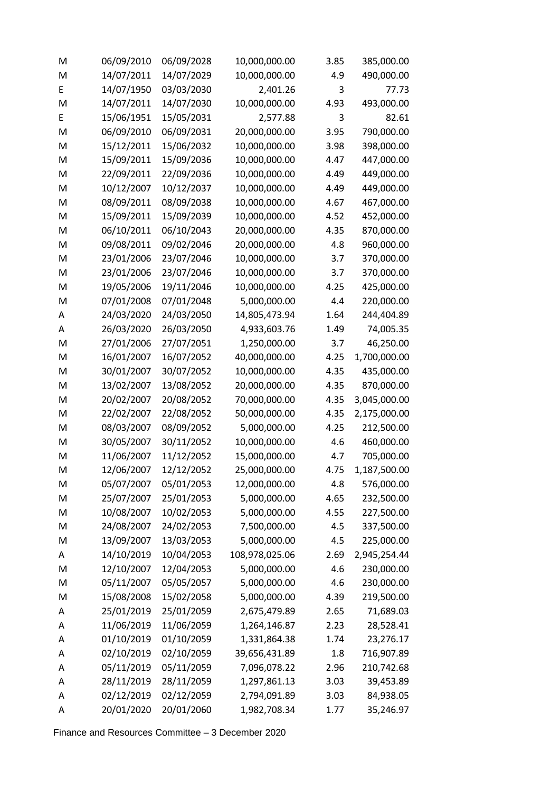| M | 06/09/2010 | 06/09/2028 | 10,000,000.00  | 3.85 | 385,000.00   |
|---|------------|------------|----------------|------|--------------|
| M | 14/07/2011 | 14/07/2029 | 10,000,000.00  | 4.9  | 490,000.00   |
| E | 14/07/1950 | 03/03/2030 | 2,401.26       | 3    | 77.73        |
| M | 14/07/2011 | 14/07/2030 | 10,000,000.00  | 4.93 | 493,000.00   |
| E | 15/06/1951 | 15/05/2031 | 2,577.88       | 3    | 82.61        |
| M | 06/09/2010 | 06/09/2031 | 20,000,000.00  | 3.95 | 790,000.00   |
| M | 15/12/2011 | 15/06/2032 | 10,000,000.00  | 3.98 | 398,000.00   |
| M | 15/09/2011 | 15/09/2036 | 10,000,000.00  | 4.47 | 447,000.00   |
| M | 22/09/2011 | 22/09/2036 | 10,000,000.00  | 4.49 | 449,000.00   |
| M | 10/12/2007 | 10/12/2037 | 10,000,000.00  | 4.49 | 449,000.00   |
| M | 08/09/2011 | 08/09/2038 | 10,000,000.00  | 4.67 | 467,000.00   |
| M | 15/09/2011 | 15/09/2039 | 10,000,000.00  | 4.52 | 452,000.00   |
| M | 06/10/2011 | 06/10/2043 | 20,000,000.00  | 4.35 | 870,000.00   |
| M | 09/08/2011 | 09/02/2046 | 20,000,000.00  | 4.8  | 960,000.00   |
| M | 23/01/2006 | 23/07/2046 | 10,000,000.00  | 3.7  | 370,000.00   |
| M | 23/01/2006 | 23/07/2046 | 10,000,000.00  | 3.7  | 370,000.00   |
| M | 19/05/2006 | 19/11/2046 | 10,000,000.00  | 4.25 | 425,000.00   |
| M | 07/01/2008 | 07/01/2048 | 5,000,000.00   | 4.4  | 220,000.00   |
| Α | 24/03/2020 | 24/03/2050 | 14,805,473.94  | 1.64 | 244,404.89   |
| Α | 26/03/2020 | 26/03/2050 | 4,933,603.76   | 1.49 | 74,005.35    |
| M | 27/01/2006 | 27/07/2051 | 1,250,000.00   | 3.7  | 46,250.00    |
| M | 16/01/2007 | 16/07/2052 | 40,000,000.00  | 4.25 | 1,700,000.00 |
| M | 30/01/2007 | 30/07/2052 | 10,000,000.00  | 4.35 | 435,000.00   |
| M | 13/02/2007 | 13/08/2052 | 20,000,000.00  | 4.35 | 870,000.00   |
| M | 20/02/2007 | 20/08/2052 | 70,000,000.00  | 4.35 | 3,045,000.00 |
| M | 22/02/2007 | 22/08/2052 | 50,000,000.00  | 4.35 | 2,175,000.00 |
| M | 08/03/2007 | 08/09/2052 | 5,000,000.00   | 4.25 | 212,500.00   |
| M | 30/05/2007 | 30/11/2052 | 10,000,000.00  | 4.6  | 460,000.00   |
| M | 11/06/2007 | 11/12/2052 | 15,000,000.00  | 4.7  | 705,000.00   |
| M | 12/06/2007 | 12/12/2052 | 25,000,000.00  | 4.75 | 1,187,500.00 |
| M | 05/07/2007 | 05/01/2053 | 12,000,000.00  | 4.8  | 576,000.00   |
| M | 25/07/2007 | 25/01/2053 | 5,000,000.00   | 4.65 | 232,500.00   |
| M | 10/08/2007 | 10/02/2053 | 5,000,000.00   | 4.55 | 227,500.00   |
| M | 24/08/2007 | 24/02/2053 | 7,500,000.00   | 4.5  | 337,500.00   |
| M | 13/09/2007 | 13/03/2053 | 5,000,000.00   | 4.5  | 225,000.00   |
| A | 14/10/2019 | 10/04/2053 | 108,978,025.06 | 2.69 | 2,945,254.44 |
| M | 12/10/2007 | 12/04/2053 | 5,000,000.00   | 4.6  | 230,000.00   |
| M | 05/11/2007 | 05/05/2057 | 5,000,000.00   | 4.6  | 230,000.00   |
| M | 15/08/2008 | 15/02/2058 | 5,000,000.00   | 4.39 | 219,500.00   |
| Α | 25/01/2019 | 25/01/2059 | 2,675,479.89   | 2.65 | 71,689.03    |
| А | 11/06/2019 | 11/06/2059 | 1,264,146.87   | 2.23 | 28,528.41    |
| Α | 01/10/2019 | 01/10/2059 | 1,331,864.38   | 1.74 | 23,276.17    |
| Α | 02/10/2019 | 02/10/2059 | 39,656,431.89  | 1.8  | 716,907.89   |
| Α | 05/11/2019 | 05/11/2059 | 7,096,078.22   | 2.96 | 210,742.68   |
| Α | 28/11/2019 | 28/11/2059 | 1,297,861.13   | 3.03 | 39,453.89    |
| Α | 02/12/2019 | 02/12/2059 | 2,794,091.89   | 3.03 | 84,938.05    |
| Α | 20/01/2020 | 20/01/2060 | 1,982,708.34   | 1.77 | 35,246.97    |

Finance and Resources Committee – 3 December 2020